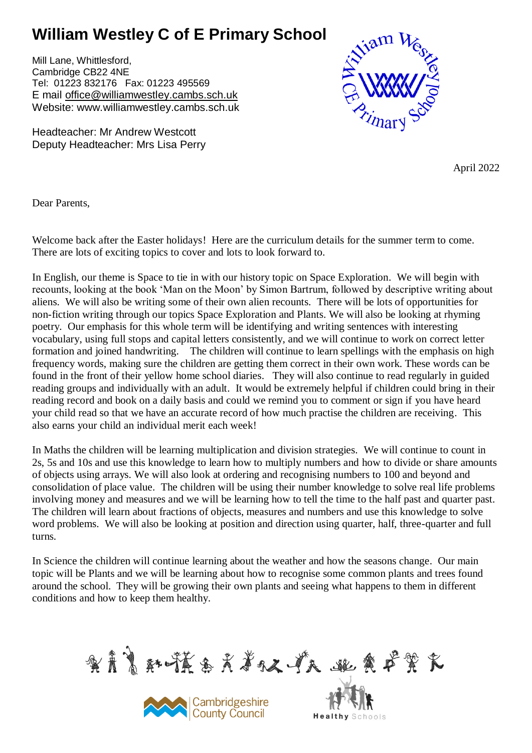## **William Westley C of E Primary School**

Mill Lane, Whittlesford, Cambridge CB22 4NE Tel: 01223 832176 Fax: 01223 495569 E mail [office@williamwestley.cambs.sch.uk](mailto:office@williamwestley.cambs.sch.uk) Website: www.williamwestley.cambs.sch.uk

Headteacher: Mr Andrew Westcott Deputy Headteacher: Mrs Lisa Perry



April 2022

Dear Parents,

Welcome back after the Easter holidays! Here are the curriculum details for the summer term to come. There are lots of exciting topics to cover and lots to look forward to.

In English, our theme is Space to tie in with our history topic on Space Exploration. We will begin with recounts, looking at the book 'Man on the Moon' by Simon Bartrum, followed by descriptive writing about aliens. We will also be writing some of their own alien recounts. There will be lots of opportunities for non-fiction writing through our topics Space Exploration and Plants. We will also be looking at rhyming poetry. Our emphasis for this whole term will be identifying and writing sentences with interesting vocabulary, using full stops and capital letters consistently, and we will continue to work on correct letter formation and joined handwriting. The children will continue to learn spellings with the emphasis on high frequency words, making sure the children are getting them correct in their own work. These words can be found in the front of their yellow home school diaries. They will also continue to read regularly in guided reading groups and individually with an adult. It would be extremely helpful if children could bring in their reading record and book on a daily basis and could we remind you to comment or sign if you have heard your child read so that we have an accurate record of how much practise the children are receiving. This also earns your child an individual merit each week!

In Maths the children will be learning multiplication and division strategies. We will continue to count in 2s, 5s and 10s and use this knowledge to learn how to multiply numbers and how to divide or share amounts of objects using arrays. We will also look at ordering and recognising numbers to 100 and beyond and consolidation of place value. The children will be using their number knowledge to solve real life problems involving money and measures and we will be learning how to tell the time to the half past and quarter past. The children will learn about fractions of objects, measures and numbers and use this knowledge to solve word problems. We will also be looking at position and direction using quarter, half, three-quarter and full turns.

In Science the children will continue learning about the weather and how the seasons change. Our main topic will be Plants and we will be learning about how to recognise some common plants and trees found around the school. They will be growing their own plants and seeing what happens to them in different conditions and how to keep them healthy.

实育育科学基系关系权、产权。 跳魚 严笑 衣



**Healthy** Schools